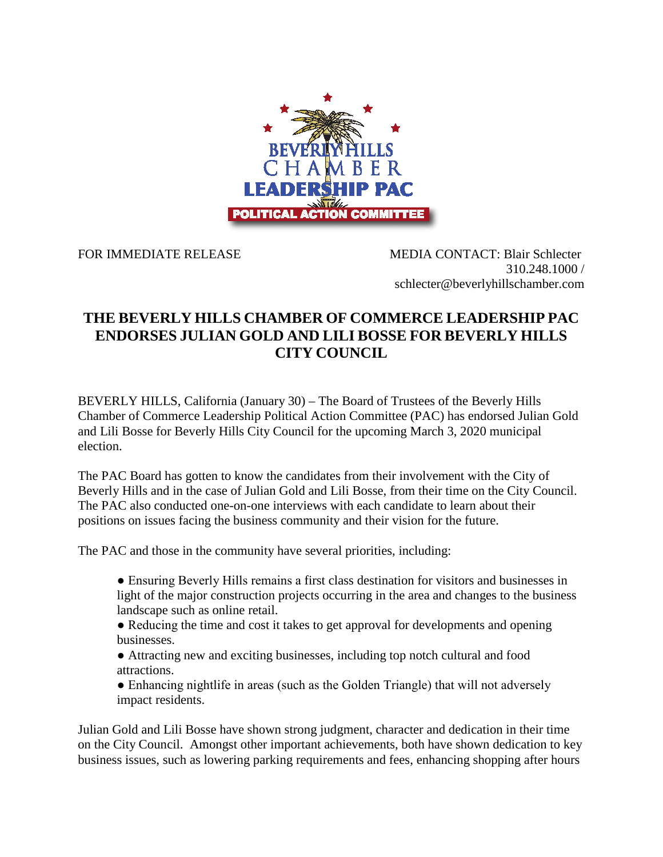

FOR IMMEDIATE RELEASE MEDIA CONTACT: Blair Schlecter 310.248.1000 / schlecter@beverlyhillschamber.com

## **THE BEVERLY HILLS CHAMBER OF COMMERCE LEADERSHIP PAC ENDORSES JULIAN GOLD AND LILI BOSSE FOR BEVERLY HILLS CITY COUNCIL**

BEVERLY HILLS, California (January 30) – The Board of Trustees of the Beverly Hills Chamber of Commerce Leadership Political Action Committee (PAC) has endorsed Julian Gold and Lili Bosse for Beverly Hills City Council for the upcoming March 3, 2020 municipal election.

The PAC Board has gotten to know the candidates from their involvement with the City of Beverly Hills and in the case of Julian Gold and Lili Bosse, from their time on the City Council. The PAC also conducted one-on-one interviews with each candidate to learn about their positions on issues facing the business community and their vision for the future.

The PAC and those in the community have several priorities, including:

● Ensuring Beverly Hills remains a first class destination for visitors and businesses in light of the major construction projects occurring in the area and changes to the business landscape such as online retail.

- Reducing the time and cost it takes to get approval for developments and opening businesses.
- Attracting new and exciting businesses, including top notch cultural and food attractions.
- Enhancing nightlife in areas (such as the Golden Triangle) that will not adversely impact residents.

Julian Gold and Lili Bosse have shown strong judgment, character and dedication in their time on the City Council. Amongst other important achievements, both have shown dedication to key business issues, such as lowering parking requirements and fees, enhancing shopping after hours